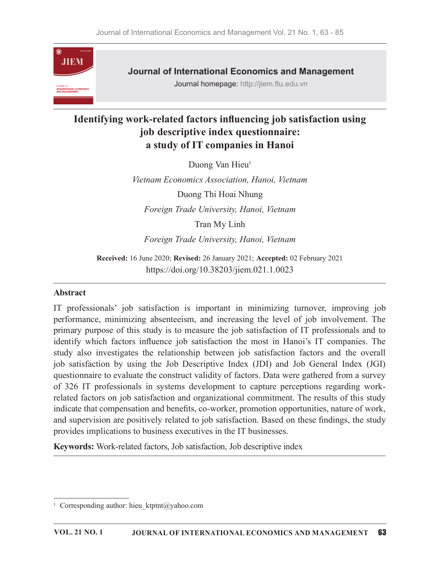

Journal of International Economics and Management

Journal homepage: http://jiem.ftu.edu.vn

# Identifying work-related factors influencing job satisfaction using job descriptive index questionnaire: a study of IT companies in Hanoi

Duong Van Hieu<sup>1</sup>  $1$ 

Vietnam Economics Association, Hanoi, Vietnam Duong Thi Hoai Nhung Foreign Trade University, Hanoi, Vietnam Tran My Linh

Foreign Trade University, Hanoi, Vietnam

Received: 16 June 2020; Revised: 26 January 2021; Accepted: 02 February 2021 https://doi.org/10.38203/jiem.021.1.0023

#### Abstract

IT professionals' job satisfaction is important in minimizing turnover, improving job performance, minimizing absenteeism, and increasing the level of job involvement. The primary purpose of this study is to measure the job satisfaction of IT professionals and to identify which factors influence job satisfaction the most in Hanoi's IT companies. The Veltam Economics Association, Hanoi, Vietnam<br>
Duong Thi Hoai Nhung<br>
Foreign Trade University, Hanoi, Vietnam<br>
Tran My Linh<br>
Foreign Trade University, Hanoi, Vietnam<br>
Received: 16 June 2020; Revised: 26 January 2021; Accept job satisfaction by using the Job Descriptive Index (JDI) and Job General Index (JGI) questionnaire to evaluate the construct validity of factors. Data were gathered from a survey of 326 IT professionals in systems development to capture perceptions regarding workrelated factors on job satisfaction and organizational commitment. The results of this study indicate that compensation and benefits, co-worker, promotion opportunities, nature of work, and supervision are positively related to job satisfaction. Based on these findings, the study provides implications to business executives in the IT businesses.

Keywords: Work-related factors, Job satisfaction, Job descriptive index

<sup>&</sup>lt;sup>1</sup> Corresponding author: hieu ktptnt@yahoo.com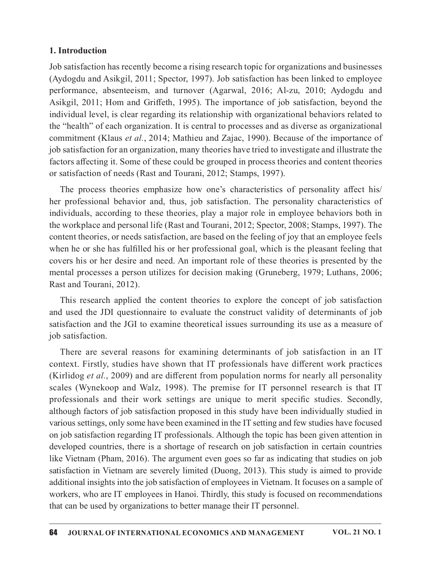#### 1. Introduction

Job satisfaction has recently become a rising research topic for organizations and businesses (Aydogdu and Asikgil, 2011; Spector, 1997). Job satisfaction has been linked to employee performance, absenteeism, and turnover (Agarwal, 2016; Al-zu, 2010; Aydogdu and Asikgil, 2011; Hom and Griffeth, 1995). The importance of job satisfaction, beyond the individual level, is clear regarding its relationship with organizational behaviors related to the "health" of each organization. It is central to processes and as diverse as organizational commitment (Klaus et al., 2014; Mathieu and Zajac, 1990). Because of the importance of job satisfaction for an organization, many theories have tried to investigate and illustrate the factors affecting it. Some of these could be grouped in process theories and content theories or satisfaction of needs (Rast and Tourani, 2012; Stamps, 1997).

The process theories emphasize how one's characteristics of personality affect his/ her professional behavior and, thus, job satisfaction. The personality characteristics of individuals, according to these theories, play a major role in employee behaviors both in the workplace and personal life (Rast and Tourani, 2012; Spector, 2008; Stamps, 1997). The content theories, or needs satisfaction, are based on the feeling of joy that an employee feels when he or she has fulfilled his or her professional goal, which is the pleasant feeling that covers his or her desire and need. An important role of these theories is presented by the mental processes a person utilizes for decision making (Gruneberg, 1979; Luthans, 2006; Rast and Tourani, 2012). "health" of each organization. It is central to processes and as diverse as organizational<br>minimum (Klaus *et d.,* 2014; Mathitu and Zajac, 1990). Because of the importance of<br>satisfaction for an organization, many theorie commitment (Klaus *et al.*, 2014; Mathieu and Zajac, 1990). Because of the importance of<br>job satisfaction for an organization, many theories have tried to investigate and illustrate the<br>factors affecting it. Some of these The process theories (than Mouths) so the characteristics of personality affect his/<br>The process theories emphasize how one's characteristics of personality characteristics of<br>ividuals, according to these theories, play a

satisfaction and the JGI to examine theoretical issues surrounding its use as a measure of job satisfaction.

context. Firstly, studies have shown that IT professionals have different work practices (Kirlidog et al., 2009) and are different from population norms for nearly all personality scales (Wynekoop and Walz, 1998). The premise for IT personnel research is that IT professionals and their work settings are unique to merit specific studies. Secondly, although factors of job satisfaction proposed in this study have been individually studied in various settings, only some have been examined in the IT setting and few studies have focused on job satisfaction regarding IT professionals. Although the topic has been given attention in developed countries, there is a shortage of research on job satisfaction in certain countries like Vietnam (Pham, 2016). The argument even goes so far as indicating that studies on job satisfaction in Vietnam are severely limited (Duong, 2013). This study is aimed to provide additional insights into the job satisfaction of employees in Vietnam. It focuses on a sample of workers, who are IT employees in Hanoi. Thirdly, this study is focused on recommendations that can be used by organizations to better manage their IT personnel.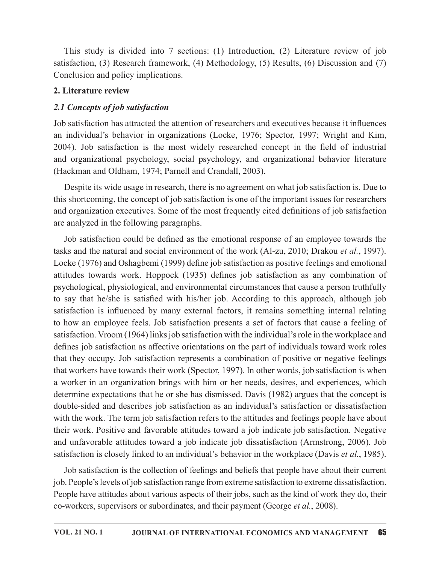This study is divided into 7 sections: (1) Introduction, (2) Literature review of job satisfaction, (3) Research framework, (4) Methodology, (5) Results, (6) Discussion and (7) Conclusion and policy implications.

## 2. Literature review

## 2.1 Concepts of job satisfaction

Job satisfaction has attracted the attention of researchers and executives because it influences an individual's behavior in organizations (Locke,1976; Spector, 1997; Wright and Kim, This study is divided into 7 sections: (1) Introduction, (2) Literature review of job<br>satisfaction, (3) Research framework, (4) Methodology, (5) Results, (6) Discussion and (7)<br>Conclusion and policy implications.<br>2. Liter and organizational psychology, social psychology, and organizational behavior literature (Hackman and Oldham, 1974; Parnell and Crandall, 2003).

Despite its wide usage in research, there is no agreement on what job satisfaction is. Due to this shortcoming, the concept of job satisfaction is one of the important issues forresearchers and organization executives. Some of the most frequently cited definitions of job satisfaction are analyzed in the following paragraphs.

Job satisfaction could be defined as the emotional response of an employee towards the tasks and the natural and social environment of the work (Al-zu, 2010; Drakou *et al.*, 1997). Locke (1976) and Oshagbemi (1999) define job satisfaction as positive feelings and emotional attitudes towards work. Hoppock (1935) defines job satisfaction as any combination of psychological, physiological, and environmental circumstances that cause a person truthfully to say that he/she is satisfied with his/her job. According to this approach, although job satisfaction is influenced by many external factors, it remains something internal relating to how an employee feels. Job satisfaction presents a set of factors that cause a feeling of satisfaction. Vroom (1964) links job satisfaction with the individual's role in the workplace and defines job satisfaction as affective orientations on the part of individuals toward work roles that they occupy. Job satisfaction represents a combination of positive or negative feelings that workers have towards their work (Spector, 1997). In other words, job satisfaction is when a worker in an organization brings with him or her needs, desires, and experiences, which determine expectations that he or she has dismissed. Davis (1982) argues that the concept is double-sided and describes job satisfaction as an individual's satisfaction or dissatisfaction with the work. The term job satisfaction refers to the attitudes and feelings people have about their work. Positive and favorable attitudes toward a job indicate job satisfaction. Negative and unfavorable attitudes toward a job indicate job dissatisfaction (Armstrong, 2006). Job satisfaction is closely linked to an individual's behavior in the workplace (Davis et al., 1985).

Job satisfaction is the collection of feelings and beliefs that people have about their current job. People's levels of job satisfaction range from extreme satisfaction to extreme dissatisfaction. People have attitudes about various aspects of their jobs, such as the kind of work they do, their co-workers, supervisors or subordinates, and their payment (George et al., 2008).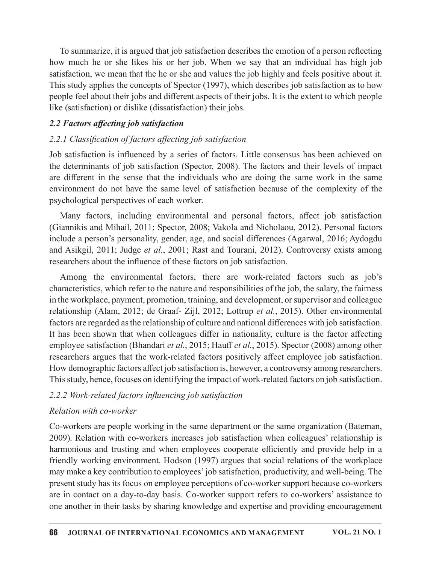To summarize, it is argued that job satisfaction describes the emotion of a person reflecting how much he or she likes his or her job. When we say that an individual has high job satisfaction, we mean that the he or she and values the job highly and feels positive about it. This study applies the concepts of Spector (1997), which describes job satisfaction as to how people feel about their jobs and different aspects of their jobs. It is the extent to which people like (satisfaction) or dislike (dissatisfaction) their jobs. To summarize, it is argued that job satisfaction describes the emotion of a person reflecting<br>show much he or she likes his or her job. When we say that an individual has high job<br>satisfaction, we mean that the he or she

## 2.2 Factors affecting job satisfaction

## 2.2.1 Classification of factors affecting job satisfaction

Job satisfaction is influenced by a series of factors. Little consensus has been achieved on the determinants of job satisfaction (Spector, 2008). The factors and their levels of impact are different in the sense that the individuals who are doing the same work in the same psychological perspectives of each worker.

Many factors, including environmental and personal factors, affect job satisfaction (Giannikis and Mihail, 2011; Spector, 2008; Vakola and Nicholaou, 2012). Personal factors include a person's personality, gender, age, and social differences (Agarwal, 2016; Aydogdu and Asikgil, 2011; Judge et al., 2001; Rast and Tourani, 2012). Controversy exists among researchers about the influence of these factors on job satisfaction.

Among the environmental factors, there are work-related factors such as job's characteristics, which refer to the nature and responsibilities of the job, the salary, the fairness in the workplace, payment, promotion, training, and development, or supervisor and colleague relationship (Alam, 2012; de Graaf- Zijl, 2012; Lottrup et al., 2015). Other environmental factors are regarded as the relationship of culture and national differences with job satisfaction. It has been shown that when colleagues differ in nationality, culture is the factor affecting employee satisfaction (Bhandari et al., 2015; Hauff et al., 2015). Spector (2008) among other researchers argues that the work-related factors positively affect employee job satisfaction. How demographic factors affect job satisfaction is, however, a controversy among researchers. This study, hence, focuses on identifying the impact of work-related factors on job satisfaction.

### 2.2.2 Work-related factors influencing job satisfaction

#### Relation with co-worker

Co-workers are people working in the same department or the same organization (Bateman, 2009). Relation with co-workers increases job satisfaction when colleagues' relationship is harmonious and trusting and when employees cooperate efficiently and provide help in a friendly working environment. Hodson (1997) argues that social relations of the workplace may make a key contribution to employees'job satisfaction, productivity, and well-being. The present study has its focus on employee perceptions of co-worker support because co-workers are in contact on a day-to-day basis. Co-worker support refers to co-workers' assistance to one another in their tasks by sharing knowledge and expertise and providing encouragement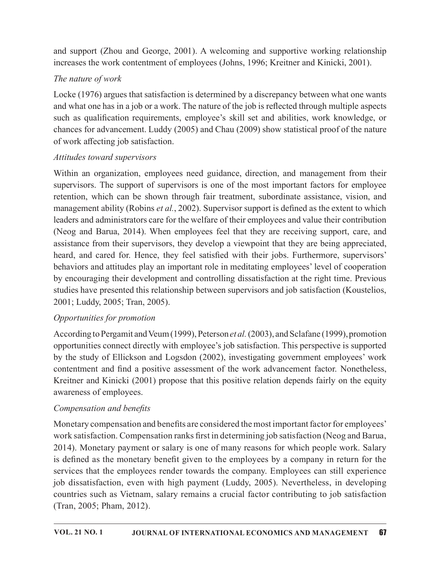and support (Zhou and George, 2001). A welcoming and supportive working relationship increases the work contentment of employees (Johns, 1996; Kreitner and Kinicki, 2001).

## The nature of work

Locke (1976) argues that satisfaction is determined by a discrepancy between what one wants and what one has in a job or a work. The nature of the job is reflected through multiple aspects such as qualification requirements, employee's skill set and abilities, work knowledge, or chances for advancement. Luddy  $(2005)$  and Chau  $(2009)$  show statistical proof of the nature of work a൵ecting job satisfaction.

## Attitudes toward supervisors

Within an organization, employees need guidance, direction, and management from their supervisors. The support of supervisors is one of the most important factors for employee retention, which can be shown through fair treatment, subordinate assistance, vision, and management ability (Robins et al., 2002). Supervisor support is defined as the extent to which leaders and administrators care for the welfare of their employees and value their contribution (Neog and Barua, 2014). When employees feel that they are receiving support, care, and assistance from their supervisors, they develop a viewpoint that they are being appreciated, heard, and cared for. Hence, they feel satisfied with their jobs. Furthermore, supervisors' behaviors and attitudes play an important role in meditating employees' level of cooperation by encouraging their development and controlling dissatisfaction at the right time. Previous studies have presented this relationship between supervisors and job satisfaction (Koustelios, 2001; Luddy, 2005; Tran, 2005).

# Opportunities for promotion

According to Pergamit and Veum (1999), Peterson et al. (2003), and Sclafane (1999), promotion opportunities connect directly with employee's job satisfaction. This perspective is supported by the study of Ellickson and Logsdon (2002), investigating government employees' work contentment and find a positive assessment of the work advancement factor. Nonetheless, Kreitner and Kinicki (2001) propose that this positive relation depends fairly on the equity awareness of employees.

# Compensation and benefits

Monetary compensation and benefits are considered the most important factor for employees' work satisfaction. Compensation ranks first in determining job satisfaction (Neog and Barua, 2014). Monetary payment or salary is one of many reasons for which people work. Salary is defined as the monetary benefit given to the employees by a company in return for the services that the employees render towards the company. Employees can still experience job dissatisfaction, even with high payment (Luddy, 2005). Nevertheless, in developing countries such as Vietnam, salary remains a crucial factor contributing to job satisfaction (Tran, 2005; Pham, 2012).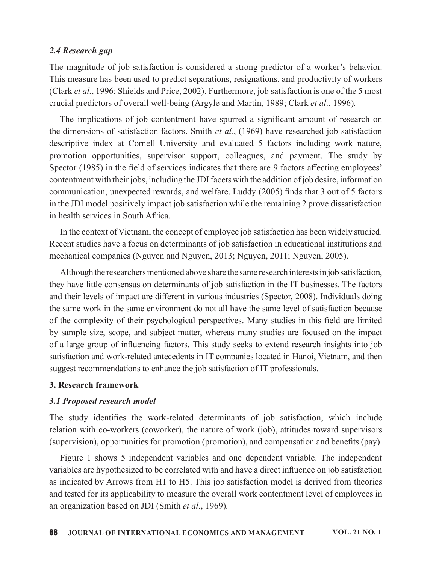#### 2.4 Research gap

The magnitude of job satisfaction is considered a strong predictor of a worker's behavior. This measure has been used to predict separations, resignations, and productivity of workers (Clark et al., 1996; Shields and Price, 2002). Furthermore, job satisfaction is one of the 5 most crucial predictors of overall well-being (Argyle and Martin, 1989; Clark et al., 1996).

The implications of job contentment have spurred a significant amount of research on the dimensions of satisfaction factors. Smith *et al.*, (1969) have researched job satisfaction descriptive index at Cornell University and evaluated 5 factors including work nature, promotion opportunities, supervisor support, colleagues, and payment. The study by Spector (1985) in the field of services indicates that there are 9 factors affecting employees' contentment with their jobs, including the JDI facets with the addition of job desire, information communication, unexpected rewards, and welfare. Luddy (2005) finds that 3 out of 5 factors in the JDI model positively impact job satisfaction while the remaining 2 prove dissatisfaction in health services in South Africa.

In the context of Vietnam, the concept of employee job satisfaction has been widely studied. Recent studies have a focus on determinants of job satisfaction in educational institutions and mechanical companies (Nguyen and Nguyen, 2013; Nguyen, 2011; Nguyen, 2005).

Although the researchers mentioned above share the same research interests in job satisfaction, they have little consensus on determinants of job satisfaction in the IT businesses. The factors and their levels of impact are different in various industries (Spector, 2008). Individuals doing the same work in the same environment do not all have the same level of satisfaction because of the complexity of their psychological perspectives. Many studies in this field are limited by sample size, scope, and subject matter, whereas many studies are focused on the impact of a large group of influencing factors. This study seeks to extend research insights into job satisfaction and work-related antecedents in IT companies located in Hanoi, Vietnam, and then suggest recommendations to enhance the job satisfaction of IT professionals.

#### 3. Research framework

#### 3.1 Proposed research model

The study identifies the work-related determinants of job satisfaction, which include relation with co-workers (coworker), the nature of work (job), attitudes toward supervisors (supervision), opportunities for promotion (promotion), and compensation and benefits (pay).

Figure 1 shows 5 independent variables and one dependent variable. The independent variables are hypothesized to be correlated with and have a direct influence on job satisfaction as indicated by Arrows from H1 to H5. This job satisfaction model is derived from theories and tested for its applicability to measure the overall work contentment level of employees in an organization based on JDI (Smith et al., 1969).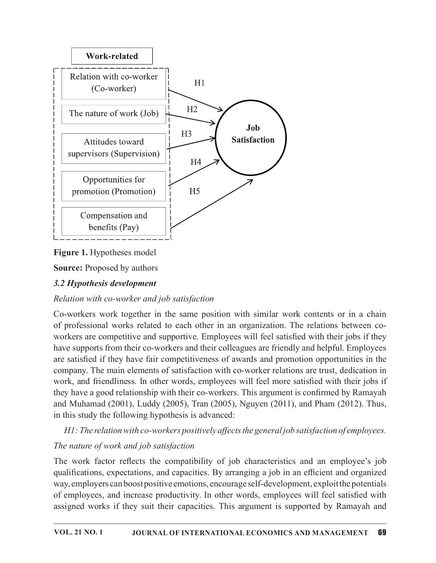

Figure 1. Hypotheses model

**Source:** Proposed by authors

# 3.2 Hypothesis development

# Relation with co-worker and job satisfaction

EXECUTE SURFARY COMPRESSION THE CONDUCTED THE CONDUCTED THE CONDUCTED TRANSITION CONDUCTED TRANSITION TRANSITION TRANSITION CONDUCTED TRANSITION CONDUCTED TRANSITION CONDUCTED TRANSITION CONDUCTED TRANSITION CONDUCTED TRAN have supports from their co-workers and their colleagues are friendly and helpful. Employees are satisfied if they have fair competitiveness of awards and promotion opportunities in the company. The main elements of satisfaction with co-worker relations are trust, dedication in work, and friendliness. In other words, employees will feel more satisfied with their jobs if they have a good relationship with their co-workers. This argument is confirmed by Ramayah and Muhamad (2001), Luddy (2005), Tran (2005), Nguyen (2011), and Pham (2012). Thus, in this study the following hypothesis is advanced: workers are competitive and supportive. Employees will feel satisfied with their jobs if they have supports from their co-workers and their colleagues are friendly and helpful. Employees the are satisfied if they have fair

 $H1$ : The relation with co-workers positively affects the general job satisfaction of employees.

# The nature of work and job satisfaction

The work factor reflects the compatibility of job characteristics and an employee's job qualifications, expectations, and capacities. By arranging a job in an efficient and organized way, employers can boost positive emotions, encourage self-development, exploit the potentials of employees, and increase productivity. In other words, employees will feel satisfied with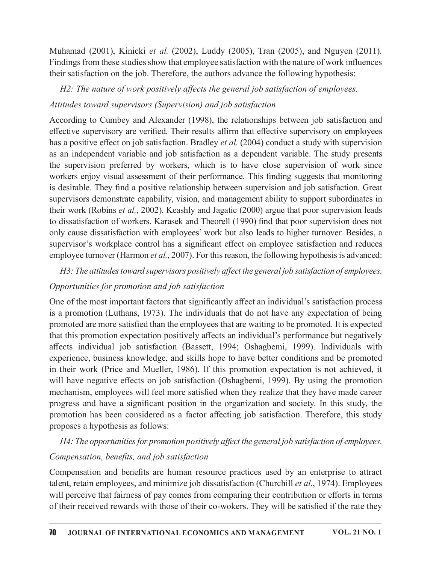Muhamad (2001), Kinicki et al. (2002), Luddy (2005), Tran (2005), and Nguyen (2011). Findings from these studies show that employee satisfaction with the nature of work influences their satisfaction on the job. Therefore, the authors advance the following hypothesis:

## $H2$ : The nature of work positively affects the general job satisfaction of employees.

### Attitudes toward supervisors (Supervision) and job satisfaction

According to Cumbey and Alexander (1998), the relationships between job satisfaction and effective supervisory are verified. Their results affirm that effective supervisory on employees has a positive effect on job satisfaction. Bradley *et al.* (2004) conduct a study with supervision Muhamad (2001), Kinicki *et al.* (2002), Luddy (2005), Tran (2005), and Nguyen (2011).<br>Findings from these studies show that employee satisfaction with the nature of work influences<br>their satisfaction on the job. Therefor the supervision preferred by workers, which is to have close supervision of work since workers enjoy visual assessment of their performance. This finding suggests that monitoring is desirable. They find a positive relationship between supervision and job satisfaction. Great supervisors demonstrate capability, vision, and management ability to support subordinates in their work (Robins et al., 2002). Keashly and Jagatic (2000) argue that poor supervision leads to dissatisfaction of workers. Karasek and Theorell (1990) find that poor supervision does not only cause dissatisfaction with employees' work but also leads to higher turnover. Besides, a supervisor's workplace control has a significant effect on employee satisfaction and reduces employee turnover (Harmon et al., 2007). For this reason, the following hypothesis is advanced:

H3: The attitudes toward supervisors positively affect the general job satisfaction of employees.

#### Opportunities for promotion and job satisfaction

One of the most important factors that significantly affect an individual's satisfaction process is a promotion (Luthans, 1973). The individuals that do not have any expectation of being promoted are more satisfied than the employees that are waiting to be promoted. It is expected that this promotion expectation positively affects an individual's performance but negatively affects individual job satisfaction (Bassett, 1994; Oshagbemi, 1999). Individuals with experience, business knowledge, and skills hope to have better conditions and be promoted in their work (Price and Mueller, 1986). If this promotion expectation is not achieved, it will have negative effects on job satisfaction (Oshagbemi, 1999). By using the promotion mechanism, employees will feel more satisfied when they realize that they have made career progress and have a significant position in the organization and society. In this study, the promotion has been considered as a factor affecting job satisfaction. Therefore, this study proposes a hypothesis as follows:

H4: The opportunities for promotion positively affect the general job satisfaction of employees.

### Compensation, benefits, and job satisfaction

Compensation and benefits are human resource practices used by an enterprise to attract talent, retain employees, and minimize job dissatisfaction (Churchill et al., 1974). Employees will perceive that fairness of pay comes from comparing their contribution or efforts in terms of their received rewards with those of their co-wokers. They will be satisfied if the rate they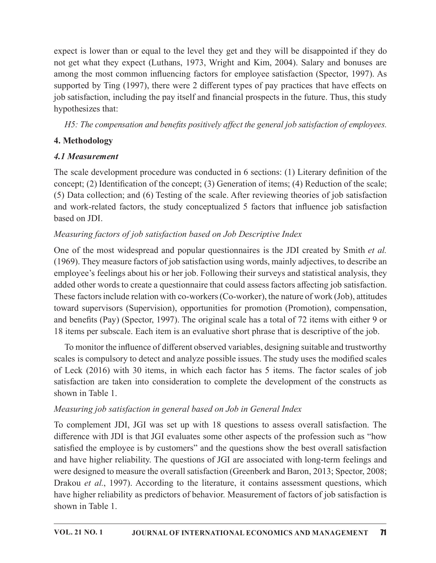expect is lower than or equal to the level they get and they will be disappointed if they do not get what they expect (Luthans, 1973, Wright and Kim, 2004). Salary and bonuses are among the most common influencing factors for employee satisfaction (Spector, 1997). As supported by Ting (1997), there were 2 different types of pay practices that have effects on job satisfaction, including the pay itself and financial prospects in the future. Thus, this study hypothesizes that:

H5: The compensation and benefits positively affect the general job satisfaction of employees.

# 4. Methodology

# 4.1 Measurement

The scale development procedure was conducted in  $6$  sections: (1) Literary definition of the concept; (2) Identification of the concept; (3) Generation of items; (4) Reduction of the scale; (5) Data collection; and (6) Testing of the scale. After reviewing theories of job satisfaction and work-related factors, the study conceptualized 5 factors that influence job satisfaction based on JDI.

# Measuring factors of job satisfaction based on Job Descriptive Index

One of the most widespread and popular questionnaires is the JDI created by Smith et al. (1969). They measure factors of job satisfaction using words, mainly adjectives, to describe an employee's feelings about his or her job. Following their surveys and statistical analysis, they added other words to create a questionnaire that could assess factors affecting job satisfaction. These factors include relation with co-workers (Co-worker), the nature of work (Job), attitudes toward supervisors (Supervision), opportunities for promotion (Promotion), compensation, and benefits (Pay) (Spector, 1997). The original scale has a total of 72 items with either 9 or 18 items per subscale. Each item is an evaluative short phrase that is descriptive of the job. and work-related tactors, the study conceptualized 5 tactors that influence job satistaction<br>Measuring factors of job satisfaction based on Job Descriptive Index<br>One of the most widespread and popular questionnaires is th

To monitor the influence of different observed variables, designing suitable and trustworthy scales is compulsory to detect and analyze possible issues. The study uses the modified scales of Leck (2016) with 30 items, in which each factor has 5 items. The factor scales of job shown in Table 1.

# Measuring job satisfaction in general based on Job in General Index

To complement JDI, JGI was set up with 18 questions to assess overall satisfaction. The difference with JDI is that JGI evaluates some other aspects of the profession such as "how satisfied the employee is by customers" and the questions show the best overall satisfaction and have higher reliability. The questions of JGI are associated with long-term feelings and were designed to measure the overall satisfaction (Greenberk and Baron, 2013; Spector, 2008; Drakou et al., 1997). According to the literature, it contains assessment questions, which have higher reliability as predictors of behavior. Measurement of factors of job satisfaction is shown in Table 1.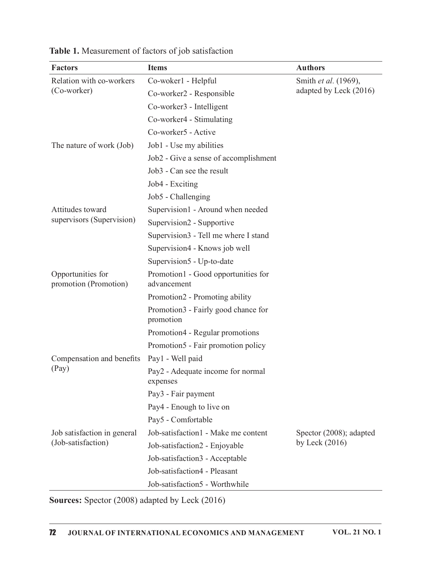| <b>Factors</b>                             | <b>Items</b>                                       | <b>Authors</b>          |
|--------------------------------------------|----------------------------------------------------|-------------------------|
| Relation with co-workers                   | Co-woker1 - Helpful                                | Smith et al. (1969),    |
| (Co-worker)                                | Co-worker2 - Responsible                           | adapted by Leck (2016)  |
|                                            | Co-worker3 - Intelligent                           |                         |
|                                            | Co-worker4 - Stimulating                           |                         |
|                                            | Co-worker5 - Active                                |                         |
| The nature of work (Job)                   | Job1 - Use my abilities                            |                         |
|                                            | Job2 - Give a sense of accomplishment              |                         |
|                                            | Job3 - Can see the result                          |                         |
|                                            | Job4 - Exciting                                    |                         |
|                                            | Job5 - Challenging                                 |                         |
| Attitudes toward                           | Supervision1 - Around when needed                  |                         |
| supervisors (Supervision)                  | Supervision2 - Supportive                          |                         |
|                                            | Supervision3 - Tell me where I stand               |                         |
|                                            | Supervision4 - Knows job well                      |                         |
|                                            | Supervision5 - Up-to-date                          |                         |
| Opportunities for<br>promotion (Promotion) | Promotion1 - Good opportunities for<br>advancement |                         |
|                                            | Promotion2 - Promoting ability                     |                         |
|                                            | Promotion3 - Fairly good chance for<br>promotion   |                         |
|                                            | Promotion4 - Regular promotions                    |                         |
|                                            | Promotion5 - Fair promotion policy                 |                         |
| Compensation and benefits Pay1 - Well paid |                                                    |                         |
| (Pay)                                      | Pay2 - Adequate income for normal<br>expenses      |                         |
|                                            | Pay3 - Fair payment                                |                         |
|                                            | Pay4 - Enough to live on                           |                         |
|                                            | Pay5 - Comfortable                                 |                         |
| Job satisfaction in general                | Job-satisfaction1 - Make me content                | Spector (2008); adapted |
| (Job-satisfaction)                         | Job-satisfaction2 - Enjoyable                      | by Leck $(2016)$        |
|                                            | Job-satisfaction3 - Acceptable                     |                         |
|                                            | Job-satisfaction4 - Pleasant                       |                         |
|                                            | Job-satisfaction5 - Worthwhile                     |                         |

Table 1. Measurement of factors of job satisfaction

Sources: Spector (2008) adapted by Leck (2016)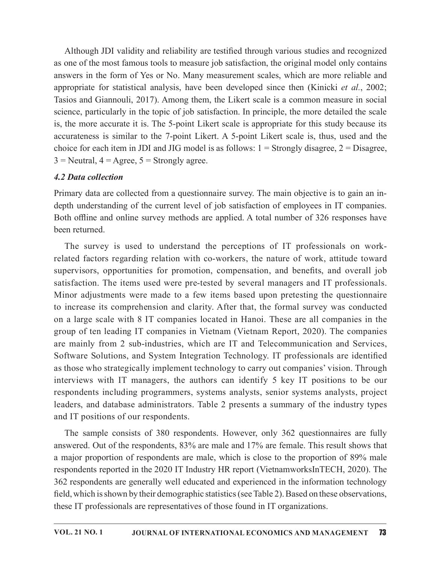Although JDI validity and reliability are testified through various studies and recognized as one of the most famous tools to measure job satisfaction, the original model only contains answers in the form of Yes or No. Many measurement scales, which are more reliable and appropriate for statistical analysis, have been developed since then (Kinicki et al., 2002; Tasios and Giannouli, 2017). Among them, the Likert scale is a common measure in social science, particularly in the topic of job satisfaction. In principle, the more detailed the scale is, the more accurate it is. The 5-point Likert scale is appropriate for this study because its accurateness is similar to the 7-point Likert. A 5-point Likert scale is, thus, used and the choice for each item in JDI and JIG model is as follows:  $1 =$  Strongly disagree,  $2 =$  Disagree,  $3$  = Neutral,  $4$  = Agree,  $5$  = Strongly agree. Although JDI validity and reliability are testified through various studies and recognized<br>as one of the most famous tools to measure job satisfaction, the original model only contains<br>answers in the form of Yes or No. Ma wers in the form of Yes or No. Many measurement scales, which are more reliable and<br>oropriate for statistical analysis, have been developed since then (Kinicki *et al.*, 2002;<br>ions and Giannouli, 2017). Among them, the Lik

## 4.2 Data collection

Primary data are collected from a questionnaire survey. The main objective is to gain an inheen returned.

related factors regarding relation with co-workers, the nature of work, attitude toward supervisors, opportunities for promotion, compensation, and benefits, and overall job satisfaction. The items used were pre-tested by several managers and IT professionals. is, the more accurate it is. The 5-point Likert scale is appropriate for this study because its<br>accurateness is similar to the 7-point Likert. A 5-point Likert scale is, thus, used and the<br>choice for each item in JDI and to increase its comprehension and clarity. After that, the formal survey was conducted choice for each item in JDI and JIG model is as follows:  $1 =$  Strongly disagree,  $2 =$  Disagree,  $3 =$  Neutral,  $4 =$  Agree,  $5 =$  Strongly agree.<br>
4.2 Data collection<br>
Primary data are collected from a questionnaire survey. group of ten leading IT companies in Vietnam (Vietnam Report, 2020). Thecompanies are mainly from 2 sub-industries, which are IT and Telecommunication and Services, Software Solutions, and System Integration Technology. IT professionals are identified as those who strategically implement technology to carry out companies' vision. Through interviews with IT managers, the authors can identify 5 key IT positions to be our respondents including programmers, systems analysts, senior systems analysts, project leaders, and database administrators. Table 2 presents a summary of the industry types and IT positions of our respondents.

The sample consists of 380 respondents. However, only 362 questionnaires are fully answered. Out of the respondents, 83% are male and 17% are female. This result shows that a major proportion of respondents are male, which is close to the proportion of 89% male respondents reported in the 2020 IT Industry HR report (VietnamworksInTECH, 2020). The 362 respondents are generally well educated and experienced in the information technology field, which is shown by their demographic statistics (see Table 2). Based on these observations, these IT professionals are representatives of those found in IT organizations.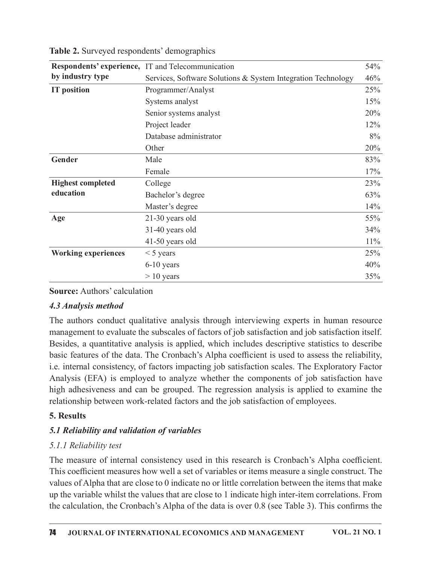| Table 2. Surveyed respondents' demographics |                                                                                                                                                                                                                                                                                               |        |
|---------------------------------------------|-----------------------------------------------------------------------------------------------------------------------------------------------------------------------------------------------------------------------------------------------------------------------------------------------|--------|
|                                             | Respondents' experience, IT and Telecommunication                                                                                                                                                                                                                                             | 54%    |
| by industry type                            | Services, Software Solutions & System Integration Technology                                                                                                                                                                                                                                  | 46%    |
| <b>IT</b> position                          | Programmer/Analyst                                                                                                                                                                                                                                                                            | 25%    |
|                                             | Systems analyst                                                                                                                                                                                                                                                                               | 15%    |
|                                             | Senior systems analyst                                                                                                                                                                                                                                                                        | 20%    |
|                                             | Project leader                                                                                                                                                                                                                                                                                | 12%    |
|                                             | Database administrator                                                                                                                                                                                                                                                                        | 8%     |
|                                             | Other                                                                                                                                                                                                                                                                                         | 20%    |
| Gender                                      | Male                                                                                                                                                                                                                                                                                          | 83%    |
|                                             | Female                                                                                                                                                                                                                                                                                        | 17%    |
| <b>Highest completed</b>                    | College                                                                                                                                                                                                                                                                                       | 23%    |
| education                                   | Bachelor's degree                                                                                                                                                                                                                                                                             | 63%    |
|                                             | Master's degree                                                                                                                                                                                                                                                                               | 14%    |
| Age                                         | 21-30 years old                                                                                                                                                                                                                                                                               | 55%    |
|                                             | 31-40 years old                                                                                                                                                                                                                                                                               | 34%    |
|                                             | 41-50 years old                                                                                                                                                                                                                                                                               | $11\%$ |
| <b>Working experiences</b>                  | $<$ 5 years                                                                                                                                                                                                                                                                                   | 25%    |
|                                             | 6-10 years                                                                                                                                                                                                                                                                                    | 40%    |
|                                             | $> 10$ years                                                                                                                                                                                                                                                                                  | 35%    |
| <b>Source: Authors' calculation</b>         |                                                                                                                                                                                                                                                                                               |        |
|                                             |                                                                                                                                                                                                                                                                                               |        |
| 4.3 Analysis method                         |                                                                                                                                                                                                                                                                                               |        |
|                                             | The authors conduct qualitative analysis through interviewing experts in human resource<br>management to evaluate the subscales of factors of job satisfaction and job satisfaction itself.<br>Besides, a quantitative analysis is applied, which includes descriptive statistics to describe |        |
|                                             |                                                                                                                                                                                                                                                                                               |        |
|                                             | basic features of the data. The Cronbach's Alpha coefficient is used to assess the reliability,<br>i.e. internal consistency, of factors impacting job satisfaction scales. The Exploratory Factor                                                                                            |        |
|                                             |                                                                                                                                                                                                                                                                                               |        |

Table 2. Surveyed respondents' demographics

### 4.3 Analysis method

management to evaluate the subscales of factors of job satisfaction and job satisfaction itself. Besides, a quantitative analysis is applied, which includes descriptive statistics to describe basic features of the data. The Cronbach's Alpha coefficient is used to assess the reliability, i.e. internal consistency, of factors impacting job satisfaction scales. The Exploratory Factor Master's degree 14%<br>
21-30 years old<br>
31-40 years old<br>
41-50 years old<br>
41-50 years old<br>
41-50 years old<br>
41-50 years old<br>
6-10 years<br>
6-10 years<br>
6-10 years<br>
6-10 years<br>
6-10 years<br>
40%<br>
25%<br>
5-10 years<br>
40%<br>
26%<br>
5-10 y Age 21-30 years old<br>
31-40 years old<br>
31-40 years old<br>
44-50 years old<br>
44-50 years set allows<br>
5 years<br>
6-10 years<br>
6-10 years<br>
5 years<br>
6-10 years<br>
5 years<br>
5 years<br>
5 years<br>
5 years<br>
5 years<br>
5 years<br>
5 years<br>
5 years<br> relationship between work-related factors and the job satisfaction of employees.

### 5. Results

## 5.1 Reliability and validation of variables

## 5.1.1 Reliability test

The measure of internal consistency used in this research is Cronbach's Alpha coefficient. This coefficient measures how well a set of variables or items measure a single construct. The values of Alpha that are close to 0 indicate no or little correlation between the items that make up the variable whilst the values that are close to 1 indicate high inter-item correlations. From the calculation, the Cronbach's Alpha of the data is over  $0.8$  (see Table 3). This confirms the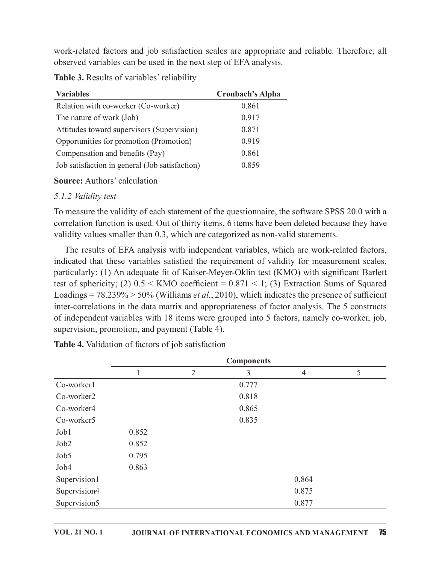| work-related factors and job satisfaction scales are appropriate and reliable. Therefore, all |                         |
|-----------------------------------------------------------------------------------------------|-------------------------|
| observed variables can be used in the next step of EFA analysis.                              |                         |
| <b>Table 3.</b> Results of variables' reliability                                             |                         |
| <b>Variables</b>                                                                              | <b>Cronbach's Alpha</b> |
| Relation with co-worker (Co-worker)                                                           | 0.861                   |
| The nature of work (Job)                                                                      | 0.917                   |
| Attitudes toward supervisors (Supervision)                                                    | 0.871                   |
| Opportunities for promotion (Promotion)                                                       | 0.919                   |
| Compensation and benefits (Pay)                                                               | 0.861                   |
| Job satisfaction in general (Job satisfaction)                                                | 0.859                   |
| <b>Source:</b> Authors' calculation                                                           |                         |
| 5.1.2 <i>Validity test</i>                                                                    |                         |
|                                                                                               |                         |

Table 3. Results of variables' reliability

#### **Source:** Authors' calculation

#### 5.1.2 Validity test

To measure the validity of each statement of the questionnaire, the software SPSS 20.0 with a correlation function is used. Out of thirty items, 6 items have been deleted because they have validity values smaller than 0.3, which are categorized as non-valid statements.

The results of EFA analysis with independent variables, which are work-related factors, indicated that these variables satisfied the requirement of validity for measurement scales, particularly: (1) An adequate fit of Kaiser-Meyer-Oklin test (KMO) with significant Barlett test of sphericity; (2)  $0.5 \leq KMO$  coefficient = 0.871  $\leq$  1; (3) Extraction Sums of Squared Loadings =  $78.239\%$  >  $50\%$  (Williams *et al.*, 2010), which indicates the presence of sufficient inter-correlations in the data matrix and appropriateness of factor analysis. The 5 constructs of independent variables with 18 items were grouped into 5 factors, namely co-worker, job, supervision, promotion, and payment (Table 4). 5.1.2 Validity test<br>
Fo measure the validity of each statement of the questionnaire, the software SPSS 20.0 with a<br>
correlation function is used. Out of thirty items, 6 items have been deleted because they have<br>
calidity of each statement of the questionnaire, the software SPSS 20.0 with a<br>used. Out of thirty items, 6 items have been deleted because they have<br>than 0.3, which are categorized as non-valid statements.<br>analysis with independe

| correlation function is used. Out of thirty items, 6 items have been deleted because they have<br>validity values smaller than 0.3, which are categorized as non-valid statements.                                                                                                                                                                                                                                                                                                                                                                                                                                                                                                                                  |       |                |                                                                                         |                |    |  |
|---------------------------------------------------------------------------------------------------------------------------------------------------------------------------------------------------------------------------------------------------------------------------------------------------------------------------------------------------------------------------------------------------------------------------------------------------------------------------------------------------------------------------------------------------------------------------------------------------------------------------------------------------------------------------------------------------------------------|-------|----------------|-----------------------------------------------------------------------------------------|----------------|----|--|
| indicated that these variables satisfied the requirement of validity for measurement scales,<br>particularly: (1) An adequate fit of Kaiser-Meyer-Oklin test (KMO) with significant Barlett<br>test of sphericity; (2) $0.5 \leq KMO$ coefficient = 0.871 < 1; (3) Extraction Sums of Squared<br>Loadings = $78.239\%$ > $50\%$ (Williams <i>et al.</i> , 2010), which indicates the presence of sufficient<br>inter-correlations in the data matrix and appropriateness of factor analysis. The 5 constructs<br>of independent variables with 18 items were grouped into 5 factors, namely co-worker, job,<br>supervision, promotion, and payment (Table 4).<br>Table 4. Validation of factors of job satisfaction |       |                | The results of EFA analysis with independent variables, which are work-related factors, |                |    |  |
|                                                                                                                                                                                                                                                                                                                                                                                                                                                                                                                                                                                                                                                                                                                     |       |                | <b>Components</b>                                                                       |                |    |  |
|                                                                                                                                                                                                                                                                                                                                                                                                                                                                                                                                                                                                                                                                                                                     |       | $\overline{2}$ | 3                                                                                       | $\overline{4}$ | 5  |  |
| Co-worker1                                                                                                                                                                                                                                                                                                                                                                                                                                                                                                                                                                                                                                                                                                          |       |                | 0.777                                                                                   |                |    |  |
| Co-worker2                                                                                                                                                                                                                                                                                                                                                                                                                                                                                                                                                                                                                                                                                                          |       |                | 0.818                                                                                   |                |    |  |
| Co-worker4                                                                                                                                                                                                                                                                                                                                                                                                                                                                                                                                                                                                                                                                                                          |       |                | 0.865                                                                                   |                |    |  |
| Co-worker5                                                                                                                                                                                                                                                                                                                                                                                                                                                                                                                                                                                                                                                                                                          |       |                | 0.835                                                                                   |                |    |  |
| Job1                                                                                                                                                                                                                                                                                                                                                                                                                                                                                                                                                                                                                                                                                                                | 0.852 |                |                                                                                         |                |    |  |
| Job2                                                                                                                                                                                                                                                                                                                                                                                                                                                                                                                                                                                                                                                                                                                | 0.852 |                |                                                                                         |                |    |  |
| Job5                                                                                                                                                                                                                                                                                                                                                                                                                                                                                                                                                                                                                                                                                                                | 0.795 |                |                                                                                         |                |    |  |
| Job4                                                                                                                                                                                                                                                                                                                                                                                                                                                                                                                                                                                                                                                                                                                | 0.863 |                |                                                                                         |                |    |  |
| Supervision1                                                                                                                                                                                                                                                                                                                                                                                                                                                                                                                                                                                                                                                                                                        |       |                |                                                                                         | 0.864          |    |  |
| Supervision4                                                                                                                                                                                                                                                                                                                                                                                                                                                                                                                                                                                                                                                                                                        |       |                |                                                                                         | 0.875          |    |  |
| Supervision5                                                                                                                                                                                                                                                                                                                                                                                                                                                                                                                                                                                                                                                                                                        |       |                |                                                                                         | 0.877          |    |  |
| <b>VOL. 21 NO. 1</b>                                                                                                                                                                                                                                                                                                                                                                                                                                                                                                                                                                                                                                                                                                |       |                | JOURNAL OF INTERNATIONAL ECONOMICS AND MANAGEMENT                                       |                | 75 |  |

Table 4. Validation of factors of job satisfaction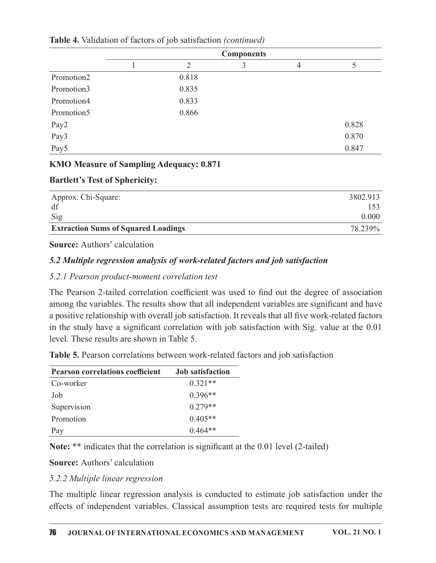| Table 4. Validation of factors of job satisfaction (continued) |              |                |                                     |                |                |
|----------------------------------------------------------------|--------------|----------------|-------------------------------------|----------------|----------------|
|                                                                |              |                |                                     |                |                |
|                                                                |              |                |                                     |                |                |
|                                                                | $\mathbf{1}$ | $\overline{2}$ | <b>Components</b><br>$\mathfrak{Z}$ | $\overline{4}$ | $\mathfrak{S}$ |
| Promotion2                                                     |              | 0.818          |                                     |                |                |
| Promotion3                                                     |              | 0.835          |                                     |                |                |
| Promotion4                                                     |              | 0.833          |                                     |                |                |
| Promotion5                                                     |              | 0.866          |                                     |                |                |
| Pay2                                                           |              |                |                                     |                | 0.828          |
| Pay3                                                           |              |                |                                     |                | 0.870          |
| Pay5                                                           |              |                |                                     |                | 0.847          |
| KMO Measure of Sampling Adequacy: 0.871                        |              |                |                                     |                |                |
| <b>Bartlett's Test of Sphericity:</b>                          |              |                |                                     |                |                |

Table 4. Validation of factors of job satisfaction (continued)

#### KMO Measure of Sampling Adequacy: 0.871

#### Bartlett's Test of Sphericity:

| Approx. Chi-Square:                        | 3802.913                |
|--------------------------------------------|-------------------------|
| df                                         | $\sim$<br>$1 \cup \cup$ |
| Sig                                        | 0.000                   |
| <b>Extraction Sums of Squared Loadings</b> | 78.239%                 |

**Source:** Authors' calculation

## 5.2 Multiple regression analysis of work-related factors and job satisfaction

### 5.2.1 Pearson product-moment correlation test

The Pearson 2-tailed correlation coefficient was used to find out the degree of association among the variables. The results show that all independent variables are significant and have a positive relationship with overall job satisfaction. It reveals that all five work-related factors in the study have a significant correlation with job satisfaction with Sig. value at the  $0.01$ level. These results are shown in Table 5. **Source:** Authors' calculation<br> **S.2 Multiple regression analysis of work-related factors and job satisfaction**<br> **EXECUTE:** Pearson product-moment correlation test<br>
The Pearson 2-tailed correlation coefficient was used to 5.2 Multiple regression analysis of work-related factors and job satisfaction<br>
5.2.1 Pearson product-moment correlation test<br>
The Pearson 2-tailed correlation coefficient was used to find out the degree of association<br>
mo

| <b>Table 5.</b> Pearson correlations between work-related factors and job satisfaction                                                                                                      |                         |
|---------------------------------------------------------------------------------------------------------------------------------------------------------------------------------------------|-------------------------|
| <b>Pearson correlations coefficient</b>                                                                                                                                                     | <b>Job</b> satisfaction |
| Co-worker                                                                                                                                                                                   | $0.321**$               |
| Job                                                                                                                                                                                         | $0.396**$               |
| Supervision                                                                                                                                                                                 | $0.279**$               |
| Promotion                                                                                                                                                                                   | $0.405**$               |
| Pay                                                                                                                                                                                         | $0.464**$               |
| Note: ** indicates that the correlation is significant at the 0.01 level (2-tailed)                                                                                                         |                         |
| <b>Source:</b> Authors' calculation                                                                                                                                                         |                         |
| 5.2.2 Multiple linear regression                                                                                                                                                            |                         |
| The multiple linear regression analysis is conducted to estimate job satisfaction under the<br>effects of independent variables. Classical assumption tests are required tests for multiple |                         |

### 5.2.2 Multiple linear regression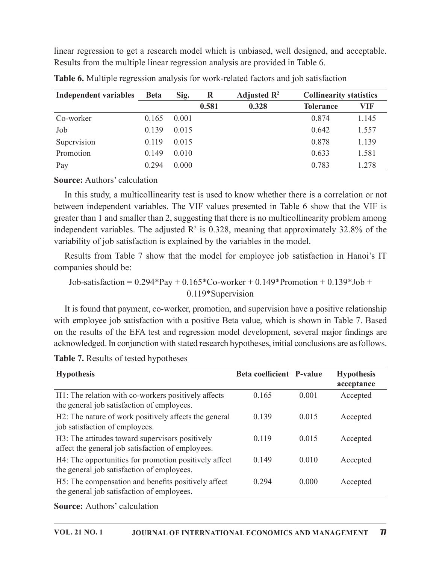| linear regression to get a research model which is unbiased, well designed, and acceptable.                                                                                              |             |       |         |                         |                                |            |
|------------------------------------------------------------------------------------------------------------------------------------------------------------------------------------------|-------------|-------|---------|-------------------------|--------------------------------|------------|
| Results from the multiple linear regression analysis are provided in Table 6.                                                                                                            |             |       |         |                         |                                |            |
|                                                                                                                                                                                          |             |       |         |                         |                                |            |
| Table 6. Multiple regression analysis for work-related factors and job satisfaction                                                                                                      |             |       |         |                         |                                |            |
| <b>Independent variables</b>                                                                                                                                                             | <b>Beta</b> | Sig.  | $\bf R$ | Adjusted $\mathbb{R}^2$ | <b>Collinearity statistics</b> |            |
|                                                                                                                                                                                          |             |       | 0.581   | 0.328                   | <b>Tolerance</b>               | <b>VIF</b> |
|                                                                                                                                                                                          |             |       |         |                         |                                |            |
| Co-worker                                                                                                                                                                                | 0.165       | 0.001 |         |                         | 0.874                          | 1.145      |
| Job                                                                                                                                                                                      | 0.139       | 0.015 |         |                         | 0.642                          | 1.557      |
|                                                                                                                                                                                          | 0.119       | 0.015 |         |                         | 0.878                          | 1.139      |
| Supervision<br>Promotion                                                                                                                                                                 | 0.149       | 0.010 |         |                         | 0.633                          | 1.581      |
|                                                                                                                                                                                          | 0.294       | 0.000 |         |                         |                                |            |
| Pay                                                                                                                                                                                      |             |       |         |                         | 0.783                          | 1.278      |
| <b>Source:</b> Authors' calculation                                                                                                                                                      |             |       |         |                         |                                |            |
|                                                                                                                                                                                          |             |       |         |                         |                                |            |
| In this study, a multicollinearity test is used to know whether there is a correlation or not<br>between independent variables. The VIF values presented in Table 6 show that the VIF is |             |       |         |                         |                                |            |

| <b>Table 6.</b> Multiple regression analysis for work-related factors and job satisfaction |  |
|--------------------------------------------------------------------------------------------|--|
|                                                                                            |  |

#### Source: Authors' calculation

In this study, a multicollinearity test is used to know whether there is a correlation or not between independent variables. The VIF values presented in Table 6 show that the VIF is greater than 1 and smaller than 2, suggesting that there is no multicollinearity problem among independent variables. The adjusted  $\mathbb{R}^2$  is 0.328, meaning that approximately 32.8% of the variability of job satisfaction is explained by the variables in the model.

| greater than I and smaller than 2, suggesting that there is no multicommearity problem among<br>independent variables. The adjusted $\mathbb{R}^2$ is 0.328, meaning that approximately 32.8% of the<br>variability of job satisfaction is explained by the variables in the model.                                                                                                             |                          |       |                                 |
|-------------------------------------------------------------------------------------------------------------------------------------------------------------------------------------------------------------------------------------------------------------------------------------------------------------------------------------------------------------------------------------------------|--------------------------|-------|---------------------------------|
| Results from Table 7 show that the model for employee job satisfaction in Hanoi's IT<br>companies should be:                                                                                                                                                                                                                                                                                    |                          |       |                                 |
| Job-satisfaction = $0.294*Pay + 0.165*Co-worker + 0.149*Promotion + 0.139*Job +$<br>0.119*Supervision                                                                                                                                                                                                                                                                                           |                          |       |                                 |
| It is found that payment, co-worker, promotion, and supervision have a positive relationship<br>with employee job satisfaction with a positive Beta value, which is shown in Table 7. Based<br>on the results of the EFA test and regression model development, several major findings are<br>acknowledged. In conjunction with stated research hypotheses, initial conclusions are as follows. |                          |       |                                 |
| Table 7. Results of tested hypotheses                                                                                                                                                                                                                                                                                                                                                           |                          |       |                                 |
| <b>Hypothesis</b>                                                                                                                                                                                                                                                                                                                                                                               | Beta coefficient P-value |       | <b>Hypothesis</b><br>acceptance |
| H1: The relation with co-workers positively affects<br>the general job satisfaction of employees.                                                                                                                                                                                                                                                                                               | 0.165                    | 0.001 | Accepted                        |
| H2: The nature of work positively affects the general<br>job satisfaction of employees.                                                                                                                                                                                                                                                                                                         | 0.139                    | 0.015 | Accepted                        |
| H3: The attitudes toward supervisors positively<br>affect the general job satisfaction of employees.                                                                                                                                                                                                                                                                                            | 0.119                    | 0.015 | Accepted                        |
| H4: The opportunities for promotion positively affect<br>the general job satisfaction of employees.                                                                                                                                                                                                                                                                                             | 0.149                    | 0.010 | Accepted                        |
| H5: The compensation and benefits positively affect<br>the general job satisfaction of employees.                                                                                                                                                                                                                                                                                               | 0.294                    | 0.000 | Accepted                        |
| <b>Source:</b> Authors' calculation                                                                                                                                                                                                                                                                                                                                                             |                          |       |                                 |
| <b>VOL. 21 NO. 1</b><br>JOURNAL OF INTERNATIONAL ECONOMICS AND MANAGEMENT                                                                                                                                                                                                                                                                                                                       |                          |       | 77                              |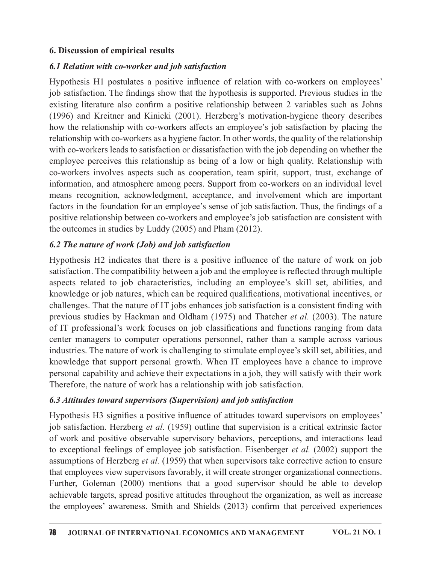#### 6. Discussion of empirical results

### 6.1 Relation with co-worker and job satisfaction

Hypothesis H1 postulates a positive influence of relation with co-workers on employees' job satisfaction. The findings show that the hypothesis is supported. Previous studies in the existing literature also confirm a positive relationship between 2 variables such as Johns (1996) and Kreitner and Kinicki (2001). Herzberg's motivation-hygiene theory describes how the relationship with co-workers affects an employee's job satisfaction by placing the relationship with co-workers as a hygiene factor. In other words, the quality of the relationship with co-workers leads to satisfaction or dissatisfaction with the job depending on whether the 6. Discussion of empirical results<br>
6.*I* Relation with co-worker and job satisfaction<br>
Hypothesis HI postulates a positive influence of relation with co-workers on employees'<br>
colo satisfaction. The findings show that th co-workers involves aspects such as cooperation, team spirit, support, trust, exchange of information, and atmosphere among peers. Support from co-workers on an individual level means recognition, acknowledgment, acceptance, and involvement which are important factors in the foundation for an employee's sense of job satisfaction. Thus, the findings of a positive relationship between co-workers and employee's job satisfaction are consistent with the outcomes in studies by Luddy (2005) and Pham (2012).

### 6.2 The nature of work (Job) and job satisfaction

Hypothesis H2 indicates that there is a positive influence of the nature of work on job satisfaction. The compatibility between a job and the employee is reflected through multiple aspects related to job characteristics, including an employee's skill set, abilities, and knowledge or job natures, which can be required qualifications, motivational incentives, or challenges. That the nature of IT jobs enhances job satisfaction is a consistent finding with previous studies by Hackman and Oldham (1975) and Thatcher et al. (2003). The nature of IT professional's work focuses on job classifications and functions ranging from data center managers to computer operations personnel, rather than a sample across various industries. The nature of work is challenging to stimulate employee's skill set, abilities, and knowledge that support personal growth. When IT employees have a chance to improve personal capability and achieve their expectations in a job, they will satisfy with their work Therefore, the nature of work has a relationship with job satisfaction. assects create of polynomial performation of the energy of anti-<br>assects related to job characteristics, including an employee's skill set, abilities, and<br>throwledge or job natures, which can be required qualifications, m

### 6.3 Attitudes toward supervisors (Supervision) and job satisfaction

Hypothesis H3 signifies a positive influence of attitudes toward supervisors on employees' job satisfaction. Herzberg et al.  $(1959)$  outline that supervision is a critical extrinsic factor of work and positive observable supervisory behaviors, perceptions, and interactions lead assumptions of Herzberg et al. (1959) that when supervisors take corrective action to ensure that employees view supervisors favorably, it will create stronger organizational connections. Further, Goleman  $(2000)$  mentions that a good supervisor should be able to develop achievable targets, spread positive attitudes throughout the organization, as well as increase the employees' awareness. Smith and Shields (2013) confirm that perceived experiences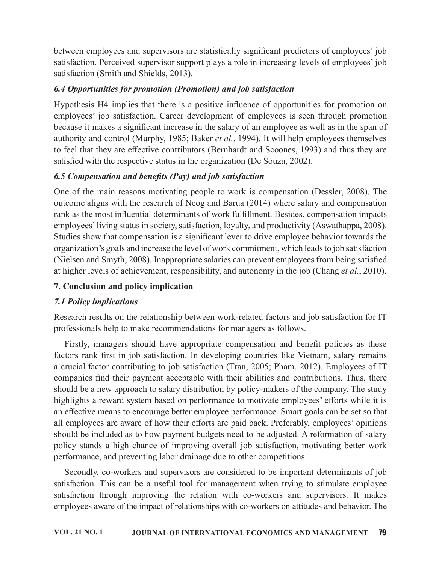between employees and supervisors are statistically significant predictors of employees' job satisfaction. Perceived supervisor support plays a role in increasing levels of employees' job satisfaction (Smith and Shields, 2013).

## 6.4 Opportunities for promotion (Promotion) and job satisfaction

Hypothesis H4 implies that there is a positive influence of opportunities for promotion on between employees and supervisors are statistically significant predictors of employees' job<br>satisfaction. Perceived supervisor support plays a role in increasing levels of employees' job<br>satisfaction (Smith and Shields, 2 because it makes a significant increase in the salary of an employee as well as in the span of authority and control (Murphy, 1985; Baker et al., 1994). It will help employees themselves to feel that they are effective contributors (Bernhardt and Scoones, 1993) and thus they are satisfied with the respective status in the organization (De Souza, 2002).

# 6.5 Compensation and benefits (Pay) and job satisfaction

One of the main reasons motivating people to work is compensation (Dessler, 2008). The outcome aligns with the research of Neog and Barua (2014) where salary and compensation rank as the most influential determinants of work fulfillment. Besides, compensation impacts employees' living status in society, satisfaction, loyalty, and productivity (Aswathappa, 2008). Studies show that compensation is a significant lever to drive employee behavior towards the organization's goals and increase the level of work commitment, which leadsto job satisfaction (Nielsen and Smyth, 2008). Inappropriate salaries can prevent employees from being satisfied at higher levels of achievement, responsibility, and autonomy in the job (Chang *et al.*, 2010). For the main reasons motivating people to work is compensation (Dessler, 2008). The outcome aligns with the research of Neog and Barua (2014) where salary and compensation rank as the most influential determinants of work

# 7. Conclusion and policy implication

# 7.1 Policy implications

Research results on the relationship between work-related factors and job satisfaction for IT professionals help to make recommendations for managers as follows.

Firstly, managers should have appropriate compensation and benefit policies as these a crucial factor contributing to job satisfaction (Tran, 2005; Pham, 2012). Employees of IT companies find their payment acceptable with their abilities and contributions. Thus, there should be a new approach to salary distribution by policy-makers of the company. The study highlights a reward system based on performance to motivate employees' efforts while it is an effective means to encourage better employee performance. Smart goals can be set so that all employees are aware of how their efforts are paid back. Preferably, employees' opinions should be included as to how payment budgets need to be adjusted. A reformation of salary policy stands a high chance of improving overall job satisfaction, motivating better work performance, and preventing labor drainage due to other competitions. Research results on the relationship between work-related factors and job satisfaction for IT<br>professionals help to make recommendations for managers as follows.<br>
Firstly, managers should have appropriate compensation and Exameline that is calculated in the commendations for managers as follows.<br>
Professionals help to make recommendations for managers as follows.<br>
Firstly, managers should have appropriate compensation and benefit policies a

Secondly, co-workers and supervisors are considered to be important determinants of job employees aware of the impact of relationships with co-workers on attitudes and behavior. The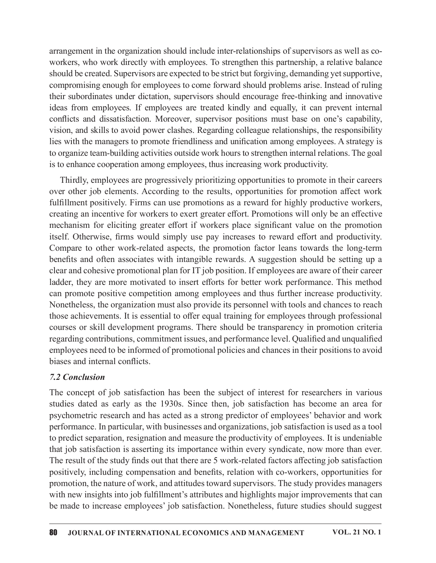arrangement in the organization should include inter-relationships of supervisors as well as coworkers, who work directly with employees. To strengthen this partnership, a relative balance should be created. Supervisors are expected to be strict but forgiving, demanding yet supportive, compromising enough for employees to come forward should problems arise. Instead of ruling their subordinates under dictation, supervisors should encourage free-thinking and innovative ideas from employees. If employees are treated kindly and equally, it can prevent internal conflicts and dissatisfaction. Moreover, supervisor positions must base on one's capability, vision, and skills to avoid power clashes. Regarding colleague relationships, the responsibility lies with the managers to promote friendliness and unification among employees. A strategy is to organize team-building activities outside work hours to strengthen internal relations. The goal is to enhance cooperation among employees, thus increasing work productivity.

Thirdly, employees are progressively prioritizing opportunities to promote in their careers over other job elements. According to the results, opportunities for promotion affect work fulfillment positively. Firms can use promotions as a reward for highly productive workers, creating an incentive for workers to exert greater effort. Promotions will only be an effective mechanism for eliciting greater effort if workers place significant value on the promotion workers, who work directly with employees. To strengthen this partnership, a relative balance<br>should be created. Supervisors are expected to be strict but frogiving, demanding yet supportive,<br>compromising enough for employ Compare to other work-related aspects, the promotion factor leans towards the long-term benefits and often associates with intangible rewards. A suggestion should be setting up a clear and cohesive promotional plan for IT job position. If employees are aware of their career ladder, they are more motivated to insert efforts for better work performance. This method can promote positive competition among employees and thus further increase productivity. Nonetheless, the organization must also provide its personnel with tools and chances to reach those achievements. It is essential to offer equal training for employees through professional courses or skill development programs. There should be transparency in promotion criteria regarding contributions, commitment issues, and performance level. Qualified and unqualified employees need to be informed of promotional policies and chances in their positions to avoid biases and internal conflicts. Fraction of the more of the control of promotion and measure the productivity of employees in the promotion itself. Otherwise, firms would simply use pay increases to reward effort and productivity. Compare to other work-r

### **7.2 Conclusion**

studies dated as early as the 1930s. Since then, job satisfaction has become an area for psychometric research and has acted as a strong predictor of employees' behavior and work performance. In particular, with businesses and organizations, job satisfaction is used as a tool to predict separation, resignation and measure the productivity of employees. It is undeniable that job satisfaction is asserting its importance within every syndicate, now more than ever. The result of the study finds out that there are 5 work-related factors affecting job satisfaction positively, including compensation and benefits, relation with co-workers, opportunities for promotion, the nature of work, and attitudes toward supervisors. The study provides managers with new insights into job fulfillment's attributes and highlights major improvements that can be made to increase employees' job satisfaction. Nonetheless, future studies should suggest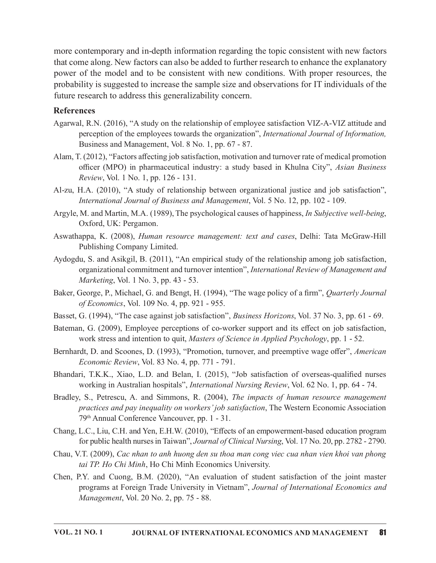more contemporary and in-depth information regarding the topic consistent with new factors that come along. New factors can also be added to further research to enhance the explanatory power of the model and to be consistent with new conditions. With proper resources, the probability is suggested to increase the sample size and observations for IT individuals of the future research to address this generalizability concern. ontemporary and in-depth information regarding the topic consistent with new factors<br>me along. New factors can also be added to further research to enhance the explanatory<br>of the model and to be consistent with new condit

#### References

- Agarwal, R.N. (2016), "A study on therelationship of employee satisfaction VIZ-A-VIZ attitude and perception of the employees towards the organization", *International Journal of Information*, Business and Management, Vol. 8 No. 1, pp. 67 - 87.
- Alam, T. (2012), "Factors a൵ecting job satisfaction, motivation and turnover rate of medical promotion Review, Vol. 1 No. 1, pp. 126 - 131.
- Al-zu, H.A. (2010), "A study of relationship between organizational justice and job satisfaction", International Journal of Business and Management, Vol. 5 No. 12, pp. 102 - 109.
- Argyle, M. and Martin, M.A. (1989), The psychological causes of happiness, *In Subjective well-being*, Oxford, UK: Pergamon.
- Aswathappa, K. (2008), Human resource management: text and cases, Delhi: Tata McGraw-Hill Publishing Company Limited.
- Aydogdu, S. and Asikgil, B. (2011), "An empirical study of the relationship among job satisfaction, organizational commitment and turnover intention", International Review of Management and *Marketing*, *Vol.* 1 No. 3, pp. 43 - 53.
- Baker, George, P., Michael, G. and Bengt, H. (1994), "The wage policy of a firm", Quarterly Journal of Economics, Vol. 109 No. 4, pp. 921 - 955.
- Basset, G. (1994), "The case against job satisfaction", *Business Horizons*, Vol. 37 No. 3, pp. 61 69.
- Bateman, G. (2009), Employee perceptions of co-worker support and its effect on job satisfaction, work stress and intention to quit, *Masters of Science in Applied Psychology*, pp.  $1 - 52$ .
- Bernhardt, D. and Scoones, D. (1993), "Promotion, turnover, and preemptive wage offer", American *Economic Review, Vol. 83 No. 4, pp. 771 - 791.*
- Bhandari, T.K.K., Xiao, L.D. and Belan, I. (2015), "Job satisfaction of overseas-qualified nurses working in Australian hospitals", *International Nursing Review*, Vol. 62 No. 1, pp. 64 - 74.
- Oxford, UK: Pergamon.<br>
Aswalhappa, K., (2008), *Human resource management: text and cases*, Delhi: Tata McGraw-Hill<br>
Aydogdu, S. and Asikgil, B. (2011), "An empirical study of the relationship among job satisfaction,<br>
orga practices and pay inequality on workers' job satisfaction, The Western Economic Association 79<sup>th</sup> Annual Conference Vancouver, pp. 1 - 31.
- Chang, L.C., Liu, C.H. and Yen, E.H.W. (2010), "E൵ects of an empowerment-based education program for public health nurses in Taiwan", Journal of Clinical Nursing, Vol. 17 No. 20, pp. 2782 - 2790.
- Chau, V.T. (2009), Cac nhan to anh huong den su thoa man cong viec cua nhan vien khoi van phong tai TP. Ho Chi Minh, Ho Chi Minh Economics University.
- Chen, P.Y. and Cuong, B.M. (2020), "An evaluation of student satisfaction of the joint master programs at Foreign Trade University in Vietnam", Journal of International Economics and Management, Vol. 20 No. 2, pp. 75 - 88.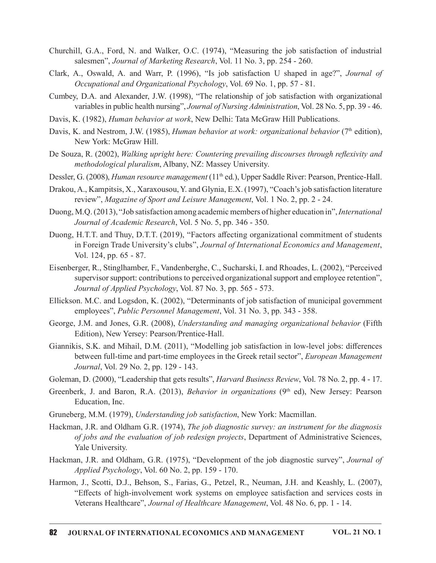- Churchill, G.A., Ford, N. and Walker, O.C. (1974), "Measuring the job satisfaction of industrial salesmen", Journal of Marketing Research, Vol. 11 No. 3, pp. 254 - 260.
- Clark, A., Oswald, A. and Warr, P. (1996), "Is job satisfaction U shaped in age?", Journal of Occupational and Organizational Psychology, Vol. 69 No. 1, pp. 57 - 81.
- Cumbey, D.A. and Alexander, J.W. (1998), "The relationship of job satisfaction with organizational variables in public health nursing", Journal of Nursing Administration, Vol. 28 No. 5, pp.  $39 - 46$ .
- Davis, K. (1982), *Human behavior at work*, New Delhi: Tata McGraw Hill Publications.
- Davis, K. and Nestrom, J.W. (1985), *Human behavior at work: organizational behavior* (7<sup>th</sup> edition), New York: McGraw Hill.
- De Souza, R. (2002), Walking upright here: Countering prevailing discourses through reflexivity and methodological pluralism, Albany, NZ: Massey University.
- Dessler, G. (2008), Human resource management (11<sup>th</sup> ed.), Upper Saddle River: Pearson, Prentice-Hall.
- Drakou, A., Kampitsis, X., Xaraxousou,Y. and Glynia, E.X.(1997), "Coach'sjob satisfaction literature review", Magazine of Sport and Leisure Management, Vol. 1 No. 2, pp. 2 - 24.
- Duong, M.Q. (2013), "Job satisfaction among academic members of higher education in", International Journal of Academic Research, Vol. 5 No. 5, pp. 346 - 350.
- Duong, H.T.T. and Thuy, D.T.T. (2019), "Factors affecting organizational commitment of students in Foreign Trade University's clubs", Journal of International Economics and Management, Vol. 124, pp. 65 - 87.
- Eisenberger, R., Stinglhamber, F., Vandenberghe, C., Sucharski, I. and Rhoades, L. (2002), "Perceived supervisor support: contributions to perceived organizational support and employee retention", Journal of Applied Psychology, Vol. 87 No. 3, pp. 565 - 573. Journal of Academic Research, Vol. 5 No. 5, pp. 346 - 350.<br>
Duong, H.T.T. and Thuy, D.T.T. (2019), "Factors affecting organizational commitment of students<br>
in Foreign Trade University's clubs", Journal of International E
- Ellickson. M.C. and Logsdon, K. (2002), "Determinants of job satisfaction of municipal government employees", Public Personnel Management, Vol. 31 No. 3, pp. 343 - 358.
- George, J.M. and Jones, G.R. (2008), Understanding and managing organizational behavior (Fifth Edition), New Yersey: Pearson/Prentice-Hall.
- Giannikis, S.K. and Mihail, D.M. (2011), "Modelling job satisfaction in low-level jobs: differences between full-time and part-time employees in the Greek retail sector", *European Management* Journal, Vol. 29 No. 2, pp. 129 - 143.
- Goleman, D. (2000), "Leadership that gets results", *Harvard Business Review*, Vol. 78 No. 2, pp. 4 17.
- Education, Inc.
- Gruneberg, M.M. (1979), Understanding job satisfaction, New York: Macmillan.
- Hackman, J.R. and Oldham G.R. (1974), *The job diagnostic survey: an instrument for the diagnosis* of jobs and the evaluation of job redesign projects, Department of Administrative Sciences, Yale University.
- Hackman, J.R. and Oldham, G.R. (1975), "Development of the job diagnostic survey", Journal of  $\text{Applied Psychology},$  Vol. 60 No. 2, pp. 159 - 170.
- Harmon, J., Scotti, D.J., Behson, S., Farias, G., Petzel, R., Neuman, J.H. and Keashly, L. (2007), "E൵ects of high-involvement work systems on employee satisfaction and services costs in Veterans Healthcare", Journal of Healthcare Management, Vol. 48 No. 6, pp. 1 - 14.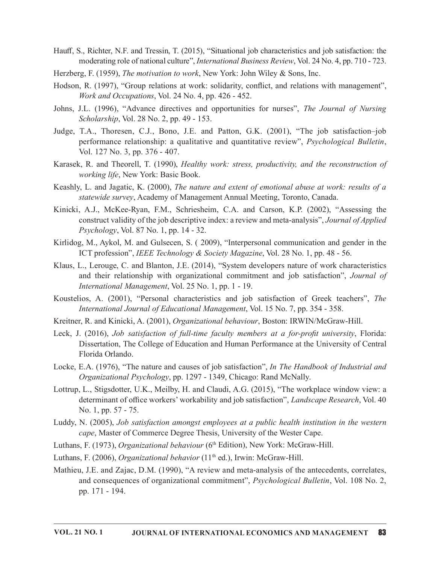- Hauff, S., Richter, N.F. and Tressin, T. (2015), "Situational job characteristics and job satisfaction: the moderating role of national culture", *International Business Review*, Vol. 24 No. 4, pp. 710 - 723.
- Herzberg, F. (1959), *The motivation to work*, New York: John Wiley & Sons, Inc.
- Hodson, R. (1997), "Group relations at work: solidarity, conflict, and relations with management", Work and Occupations, Vol. 24 No. 4, pp. 426 - 452.
- Johns, J.L. (1996), "Advance directives and opportunities for nurses", The Journal of Nursing Scholarship, Vol. 28 No. 2, pp. 49 - 153.
- Judge, T.A., Thoresen, C.J., Bono, J.E. and Patton, G.K. (2001), "The job satisfaction–job performance relational culture", *International Business Review*, Vol. 24 No. 4, pp. 710-723.<br>
g, F. (1959), *The motivation to work*, New York: John Wiley & Sons, Inc.<br>
R. (1997), "Group relations at work: solidarity, con
- Karasek, R. and Theorell, T. (1990), Healthy work: stress, productivity, and the reconstruction of working life, New York: Basic Book.
- Keashly, L. and Jagatic, K. (2000), The nature and extent of emotional abuse at work: results of a statewide survey, Academy of Management Annual Meeting, Toronto, Canada.
- Kinicki, A.J., McKee-Ryan, F.M., Schriesheim, C.A. and Carson, K.P. (2002), "Assessing the construct validity of the job descriptive index: a review and meta-analysis", Journal of Applied  $Psychology$ , Vol. 87 No. 1, pp. 14 - 32.
- Kirlidog, M., Aykol, M. and Gulsecen, S. ( 2009), "Interpersonal communication and gender in the ICT profession", *IEEE Technology*  $\&$  *Society Magazine*, Vol. 28 No. 1, pp. 48 - 56.
- Klaus, L., Lerouge, C. and Blanton, J.E. (2014), "System developers nature of work characteristics and their relationship with organizational commitment and job satisfaction", Journal of International Management, Vol.  $25$  No. 1, pp. 1 - 19.
- Koustelios, A. (2001), "Personal characteristics and job satisfaction of Greek teachers", The International Journal of Educational Management, Vol. 15 No. 7, pp. 354 - 358.
- Kreitner, R. and Kinicki, A. (2001), *Organizational behaviour*, Boston: IRWIN/McGraw-Hill.
- Leck, J. (2016), Job satisfaction of full-time faculty members at a for-profit university, Florida: Dissertation, The College of Education and Human Performance at the University of Central Florida Orlando.
- Locke, E.A. (1976), "The nature and causes of job satisfaction", In The Handbook of Industrial and Organizational Psychology, pp. 1297 - 1349, Chicago: Rand McNally.
- Lottrup, L., Stigsdotter, U.K., Meilby, H. and Claudi, A.G. (2015), "The workplace window view: a determinant of office workers' workability and job satisfaction", *Landscape Research*, Vol. 40 No. 1, pp. 57 - 75.
- Luddy, N. (2005), Job satisfaction amongst employees at a public health institution in the western cape, Master of Commerce Degree Thesis, University of the Wester Cape.
- Luthans, F. (1973), Organizational behaviour (6<sup>th</sup> Edition), New York: McGraw-Hill.
- Luthans, F. (2006), Organizational behavior (11<sup>th</sup> ed.), Irwin: McGraw-Hill.
- Mathieu, J.E. and Zajac, D.M. (1990), "A review and meta-analysis of the antecedents, correlates, and consequences of organizational commitment", Psychological Bulletin, Vol. 108 No. 2, pp. 171 - 194.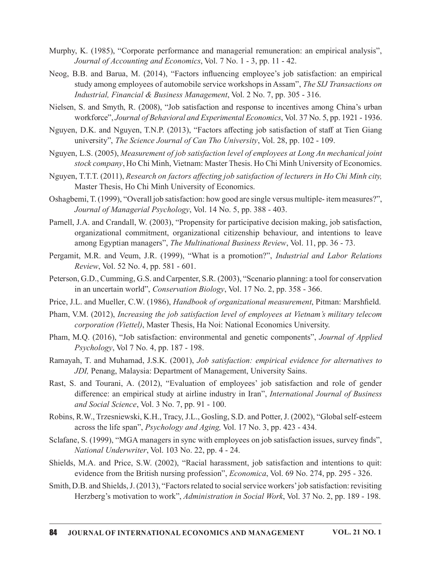- Murphy, K. (1985), "Corporate performance and managerial remuneration: an empirical analysis", Journal of Accounting and Economics, Vol. 7 No. 1 - 3, pp. 11 - 42.
- Neog, B.B. and Barua, M. (2014), "Factors influencing employee's job satisfaction: an empirical study among employees of automobile service workshops in Assam", The SIJ Transactions on Industrial, Financial & Business Management, Vol. 2 No. 7, pp. 305 - 316.
- Nielsen, S. and Smyth, R. (2008), "Job satisfaction and response to incentives among China's urban workforce", Journal of Behavioral and Experimental Economics, Vol. 37 No. 5, pp. 1921 - 1936.
- Nguyen, D.K. and Nguyen, T.N.P. (2013), "Factors affecting job satisfaction of staff at Tien Giang university", The Science Journal of Can Tho University, Vol. 28, pp. 102 - 109.
- Nguyen, L.S. (2005), Measurement of job satisfaction level of employees at Long An mechanical joint stock company, Ho Chi Minh, Vietnam: Master Thesis. Ho Chi Minh University of Economics.
- Nguyen, T.T.T. (2011), Research on factors affecting job satisfaction of lecturers in Ho Chi Minh city, Master Thesis, Ho Chi Minh University of Economics.
- Oshagbemi, T.(1999), "Overall job satisfaction: how good are single versus multiple- item measures?", Journal of Managerial Psychology, Vol. 14 No. 5, pp. 388 - 403.
- Parnell, J.A. and Crandall, W. (2003), "Propensity for participative decision making, job satisfaction, organizational commitment, organizational citizenship behaviour, and intentions to leave among Egyptian managers", *The Multinational Business Review*, Vol. 11, pp.  $36 - 73$ .
- Pergamit, M.R. and Veum, J.R. (1999), "What is a promotion?", Industrial and Labor Relations Review, Vol. 52 No. 4, pp. 581 - 601.
- Peterson, G.D., Cumming, G.S. and Carpenter, S.R. (2003), "Scenario planning: a tool for conservation in an uncertain world", *Conservation Biology*, Vol. 17 No. 2, pp. 358 - 366.
- Price, J.L. and Mueller, C.W. (1986), *Handbook of organizational measurement*, Pitman: Marshfield.
- Pham, V.M. (2012), *Increasing the job satisfaction level of employees at Vietnam's military telecom* corporation (Viettel), Master Thesis, Ha Noi: National Economics University.
- Pham, M.Q. (2016), "Job satisfaction: environmental and genetic components", *Journal of Applied*  $Psychology$ , Vol 7 No. 4, pp. 187 - 198.
- Ramayah, T. and Muhamad, J.S.K. (2001), Job satisfaction: empirical evidence for alternatives to JDI, Penang, Malaysia: Department of Management, University Sains.
- Rast, S. and Tourani, A. (2012), "Evaluation of employees' job satisfaction and role of gender difference: an empirical study at airline industry in Iran", International Journal of Business and Social Science, Vol. 3 No. 7, pp. 91 - 100.
- Robins, R.W., Trzesniewski, K.H., Tracy, J.L., Gosling, S.D. and Potter, J. (2002), "Global self-esteem across the life span", *Psychology and Aging*, Vol. 17 No. 3, pp. 423 - 434.
- Sclafane, S. (1999), "MGA managers in sync with employees on job satisfaction issues, survey finds", National Underwriter, Vol. 103 No. 22, pp. 4 - 24.
- Shields, M.A. and Price, S.W. (2002), "Racial harassment, job satisfaction and intentions to quit: evidence from the British nursing profession", *Economica*, Vol. 69 No. 274, pp. 295 - 326.
- Smith, D.B. and Shields, J. (2013), "Factors related to social service workers' job satisfaction: revisiting Herzberg's motivation to work", *Administration in Social Work*, Vol. 37 No. 2, pp. 189 - 198.